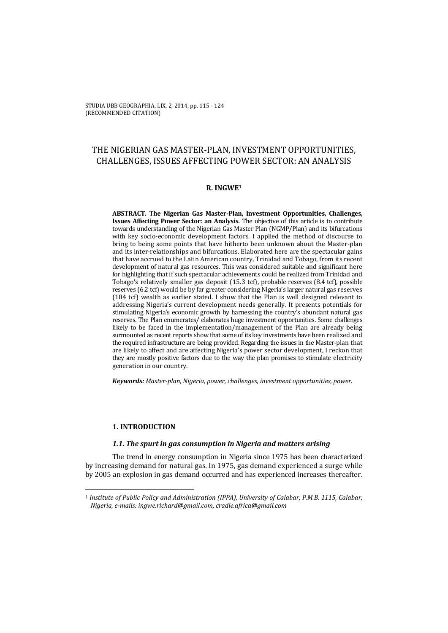# THE NIGERIAN GAS MASTER-PLAN, INVESTMENT OPPORTUNITIES, CHALLENGES, ISSUES AFFECTING POWER SECTOR: AN ANALYSIS

### **R. INGWE1**

**ABSTRACT. The Nigerian Gas Master-Plan, Investment Opportunities, Challenges, Issues Affecting Power Sector: an Analysis.** The objective of this article is to contribute towards understanding of the Nigerian Gas Master Plan (NGMP/Plan) and its bifurcations with key socio-economic development factors. I applied the method of discourse to bring to being some points that have hitherto been unknown about the Master-plan and its inter-relationships and bifurcations. Elaborated here are the spectacular gains that have accrued to the Latin American country, Trinidad and Tobago, from its recent development of natural gas resources. This was considered suitable and significant here for highlighting that if such spectacular achievements could be realized from Trinidad and Tobago's relatively smaller gas deposit (15.3 tcf), probable reserves (8.4 tcf), possible reserves (6.2 tcf) would be by far greater considering Nigeria's larger natural gas reserves (184 tcf) wealth as earlier stated. I show that the Plan is well designed relevant to addressing Nigeria's current development needs generally. It presents potentials for stimulating Nigeria's economic growth by harnessing the country's abundant natural gas reserves. The Plan enumerates/ elaborates huge investment opportunities. Some challenges likely to be faced in the implementation/management of the Plan are already being surmounted as recent reports show that some of its key investments have been realized and the required infrastructure are being provided. Regarding the issues in the Master-plan that are likely to affect and are affecting Nigeria's power sector development, I reckon that they are mostly positive factors due to the way the plan promises to stimulate electricity generation in our country.

*Keywords: Master-plan, Nigeria, power, challenges, investment opportunities, power.*

# **1. INTRODUCTION**

 $\overline{a}$ 

# *1.1. The spurt in gas consumption in Nigeria and matters arising*

The trend in energy consumption in Nigeria since 1975 has been characterized by increasing demand for natural gas. In 1975, gas demand experienced a surge while by 2005 an explosion in gas demand occurred and has experienced increases thereafter.

<sup>1</sup> *Institute of Public Policy and Administration (IPPA), University of Calabar, P.M.B. 1115, Calabar, Nigeria, e-mails: ingwe.richard@gmail.com, cradle.africa@gmail.com*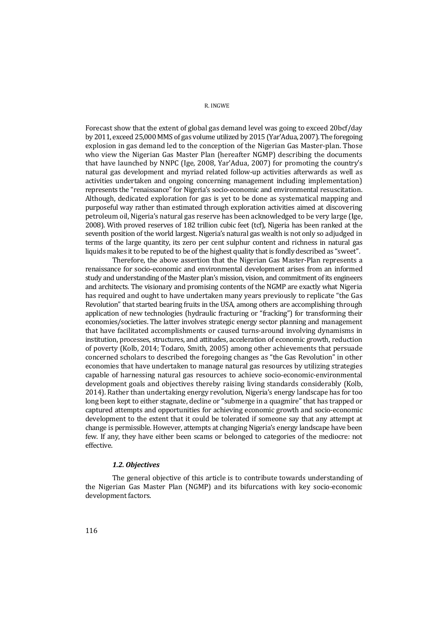Forecast show that the extent of global gas demand level was going to exceed 20bcf/day by 2011, exceed 25,000 MMS of gas volume utilized by 2015 (Yar'Adua, 2007). The foregoing explosion in gas demand led to the conception of the Nigerian Gas Master-plan. Those who view the Nigerian Gas Master Plan (hereafter NGMP) describing the documents that have launched by NNPC (Ige, 2008, Yar'Adua, 2007) for promoting the country's natural gas development and myriad related follow-up activities afterwards as well as activities undertaken and ongoing concerning management including implementation) represents the "renaissance" for Nigeria's socio-economic and environmental resuscitation. Although, dedicated exploration for gas is yet to be done as systematical mapping and purposeful way rather than estimated through exploration activities aimed at discovering petroleum oil, Nigeria's natural gas reserve has been acknowledged to be very large (Ige, 2008). With proved reserves of 182 trillion cubic feet (tcf), Nigeria has been ranked at the seventh position of the world largest. Nigeria's natural gas wealth is not only so adjudged in terms of the large quantity, its zero per cent sulphur content and richness in natural gas liquids makes it to be reputed to be of the highest quality that is fondly described as "sweet".

Therefore, the above assertion that the Nigerian Gas Master-Plan represents a renaissance for socio-economic and environmental development arises from an informed study and understanding of the Master plan's mission, vision, and commitment of its engineers and architects. The visionary and promising contents of the NGMP are exactly what Nigeria has required and ought to have undertaken many years previously to replicate "the Gas Revolution" that started bearing fruits in the USA, among others are accomplishing through application of new technologies (hydraulic fracturing or "fracking") for transforming their economies/societies. The latter involves strategic energy sector planning and management that have facilitated accomplishments or caused turns-around involving dynamisms in institution, processes, structures, and attitudes, acceleration of economic growth, reduction of poverty (Kolb, 2014; Todaro, Smith, 2005) among other achievements that persuade concerned scholars to described the foregoing changes as "the Gas Revolution" in other economies that have undertaken to manage natural gas resources by utilizing strategies capable of harnessing natural gas resources to achieve socio-economic-environmental development goals and objectives thereby raising living standards considerably (Kolb, 2014). Rather than undertaking energy revolution, Nigeria's energy landscape has for too long been kept to either stagnate, decline or "submerge in a quagmire" that has trapped or captured attempts and opportunities for achieving economic growth and socio-economic development to the extent that it could be tolerated if someone say that any attempt at change is permissible. However, attempts at changing Nigeria's energy landscape have been few. If any, they have either been scams or belonged to categories of the mediocre: not effective.

### *1.2. Objectives*

The general objective of this article is to contribute towards understanding of the Nigerian Gas Master Plan (NGMP) and its bifurcations with key socio-economic development factors.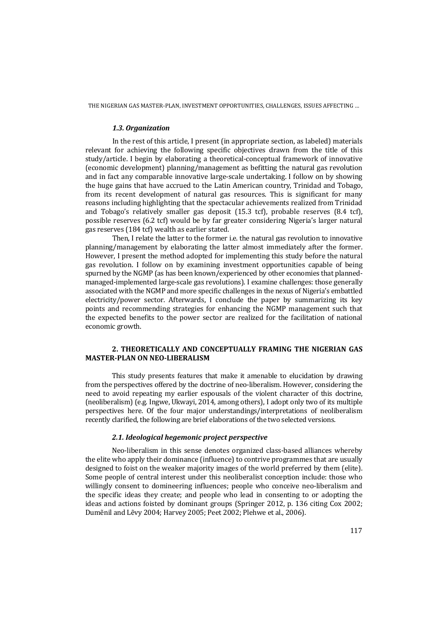THE NIGERIAN GAS MASTER-PLAN, INVESTMENT OPPORTUNITIES, CHALLENGES, ISSUES AFFECTING …

#### *1.3. Organization*

In the rest of this article, I present (in appropriate section, as labeled) materials relevant for achieving the following specific objectives drawn from the title of this study/article. I begin by elaborating a theoretical-conceptual framework of innovative (economic development) planning/management as befitting the natural gas revolution and in fact any comparable innovative large-scale undertaking. I follow on by showing the huge gains that have accrued to the Latin American country, Trinidad and Tobago, from its recent development of natural gas resources. This is significant for many reasons including highlighting that the spectacular achievements realized from Trinidad and Tobago's relatively smaller gas deposit (15.3 tcf), probable reserves (8.4 tcf), possible reserves (6.2 tcf) would be by far greater considering Nigeria's larger natural gas reserves (184 tcf) wealth as earlier stated.

Then, I relate the latter to the former i.e. the natural gas revolution to innovative planning/management by elaborating the latter almost immediately after the former. However, I present the method adopted for implementing this study before the natural gas revolution. I follow on by examining investment opportunities capable of being spurned by the NGMP (as has been known/experienced by other economies that plannedmanaged-implemented large-scale gas revolutions). I examine challenges: those generally associated with the NGMP and more specific challenges in the nexus of Nigeria's embattled electricity/power sector. Afterwards, I conclude the paper by summarizing its key points and recommending strategies for enhancing the NGMP management such that the expected benefits to the power sector are realized for the facilitation of national economic growth.

# **2. THEORETICALLY AND CONCEPTUALLY FRAMING THE NIGERIAN GAS MASTER-PLAN ON NEO-LIBERALISM**

This study presents features that make it amenable to elucidation by drawing from the perspectives offered by the doctrine of neo-liberalism. However, considering the need to avoid repeating my earlier espousals of the violent character of this doctrine, (neoliberalism) (e.g. Ingwe, Ukwayi, 2014, among others), I adopt only two of its multiple perspectives here. Of the four major understandings/interpretations of neoliberalism recently clarified, the following are brief elaborations of the two selected versions.

# *2.1. Ideological hegemonic project perspective*

Neo-liberalism in this sense denotes organized class-based alliances whereby the elite who apply their dominance (influence) to contrive programmes that are usually designed to foist on the weaker majority images of the world preferred by them (elite). Some people of central interest under this neoliberalist conception include: those who willingly consent to domineering influences; people who conceive neo-liberalism and the specific ideas they create; and people who lead in consenting to or adopting the ideas and actions foisted by dominant groups (Springer 2012, p. 136 citing Cox 2002; Dumẽnil and Lẽvy 2004; Harvey 2005; Peet 2002; Plehwe et al., 2006).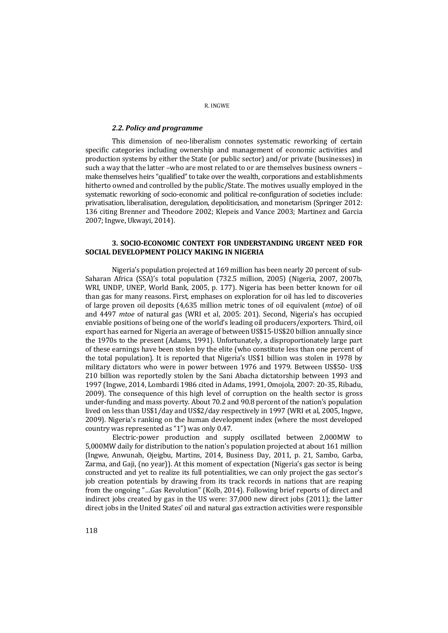#### *2.2. Policy and programme*

This dimension of neo-liberalism connotes systematic reworking of certain specific categories including ownership and management of economic activities and production systems by either the State (or public sector) and/or private (businesses) in such a way that the latter –who are most related to or are themselves business owners – make themselves heirs "qualified" to take over the wealth, corporations and establishments hitherto owned and controlled by the public/State. The motives usually employed in the systematic reworking of socio-economic and political re-configuration of societies include: privatisation, liberalisation, deregulation, depoliticisation, and monetarism (Springer 2012: 136 citing Brenner and Theodore 2002; Klepeis and Vance 2003; Martinez and Garcia 2007; Ingwe, Ukwayi, 2014).

### **3. SOCIO-ECONOMIC CONTEXT FOR UNDERSTANDING URGENT NEED FOR SOCIAL DEVELOPMENT POLICY MAKING IN NIGERIA**

Nigeria's population projected at 169 million has been nearly 20 percent of sub-Saharan Africa (SSA)'s total population (732.5 million, 2005) (Nigeria, 2007, 2007b, WRI, UNDP, UNEP, World Bank, 2005, p. 177). Nigeria has been better known for oil than gas for many reasons. First, emphases on exploration for oil has led to discoveries of large proven oil deposits (4,635 million metric tones of oil equivalent (*mtoe*) of oil and 4497 *mtoe* of natural gas (WRI et al, 2005: 201). Second, Nigeria's has occupied enviable positions of being one of the world's leading oil producers/exporters. Third, oil export has earned for Nigeria an average of between US\$15-US\$20 billion annually since the 1970s to the present (Adams, 1991). Unfortunately, a disproportionately large part of these earnings have been stolen by the elite (who constitute less than one percent of the total population). It is reported that Nigeria's US\$1 billion was stolen in 1978 by military dictators who were in power between 1976 and 1979. Between US\$50- US\$ 210 billion was reportedly stolen by the Sani Abacha dictatorship between 1993 and 1997 (Ingwe, 2014, Lombardi 1986 cited in Adams, 1991, Omojola, 2007: 20-35, Ribadu, 2009). The consequence of this high level of corruption on the health sector is gross under-funding and mass poverty. About 70.2 and 90.8 percent of the nation's population lived on less than US\$1/day and US\$2/day respectively in 1997 (WRI et al, 2005, Ingwe, 2009). Nigeria's ranking on the human development index (where the most developed country was represented as "1") was only 0.47.

 Electric-power production and supply oscillated between 2,000MW to 5,000MW daily for distribution to the nation's population projected at about 161 million (Ingwe, Anwunah, Ojeigbu, Martins, 2014, Business Day, 2011, p. 21, Sambo, Garba, Zarma, and Gaji, (no year)). At this moment of expectation (Nigeria's gas sector is being constructed and yet to realize its full potentialities, we can only project the gas sector's job creation potentials by drawing from its track records in nations that are reaping from the ongoing "…Gas Revolution" (Kolb, 2014). Following brief reports of direct and indirect jobs created by gas in the US were: 37,000 new direct jobs (2011); the latter direct jobs in the United States' oil and natural gas extraction activities were responsible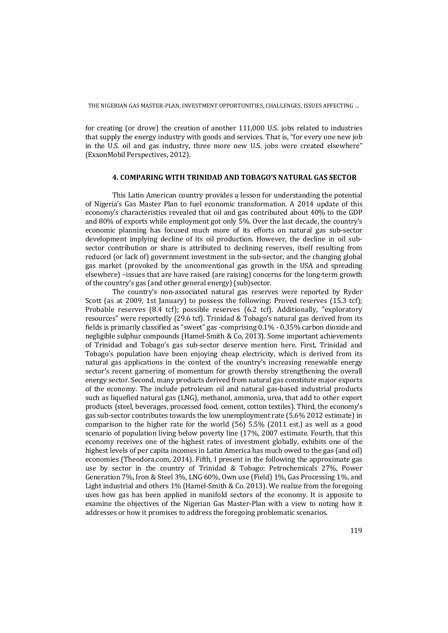for creating (or drove) the creation of another 111,000 U.S. jobs related to industries that supply the energy industry with goods and services. That is, "for every one new job in the U.S. oil and gas industry, three more new U.S. jobs were created elsewhere" (ExxonMobil Perspectives, 2012).

#### **4. COMPARING WITH TRINIDAD AND TOBAGO'S NATURAL GAS SECTOR**

This Latin American country provides a lesson for understanding the potential of Nigeria's Gas Master Plan to fuel economic transformation. A 2014 update of this economy's characteristics revealed that oil and gas contributed about 40% to the GDP and 80% of exports while employment got only 5%. Over the last decade, the country's economic planning has focused much more of its efforts on natural gas sub-sector development implying decline of its oil production. However, the decline in oil subsector contribution or share is attributed to declining reserves, itself resulting from reduced (or lack of) government investment in the sub-sector, and the changing global gas market (provoked by the unconventional gas growth in the USA and spreading elsewhere) –issues that are have raised (are raising) concerns for the long-term growth of the country's gas (and other general energy) (sub)sector.

 The country's non-associated natural gas reserves were reported by Ryder Scott (as at 2009, 1st January) to possess the following: Proved reserves (15.3 tcf); Probable reserves (8.4 tcf); possible reserves (6.2 tcf). Additionally, "exploratory resources" were reportedly (29.6 tcf). Trinidad & Tobago's natural gas derived from its fields is primarily classified as "sweet" gas -comprising 0.1% - 0.35% carbon dioxide and negligible sulphur compounds (Hamel-Smith & Co, 2013). Some important achievements of Trinidad and Tobago's gas sub-sector deserve mention here. First, Trinidad and Tobago's population have been enjoying cheap electricity, which is derived from its natural gas applications in the context of the country's increasing renewable energy sector's recent garnering of momentum for growth thereby strengthening the overall energy sector. Second, many products derived from natural gas constitute major exports of the economy. The include petroleum oil and natural gas-based industrial products such as liquefied natural gas (LNG), methanol, ammonia, urea, that add to other export products (steel, beverages, processed food, cement, cotton textiles). Third, the economy's gas sub-sector contributes towards the low unemployment rate (5.6% 2012 estimate) in comparison to the higher rate for the world (56) 5.5% (2011 est.) as well as a good scenario of population living below poverty line (17%, 2007 estimate. Fourth, that this economy receives one of the highest rates of investment globally, exhibits one of the highest levels of per capita incomes in Latin America has much owed to the gas (and oil) economies (Theodora.com, 2014). Fifth, I present in the following the approximate gas use by sector in the country of Trinidad & Tobago: Petrochemicals 27%, Power Generation 7%, Iron & Steel 3%, LNG 60%, Own use (Field) 1%, Gas Processing 1%, and Light industrial and others 1% (Hamel-Smith & Co. 2013). We realize from the foregoing uses how gas has been applied in manifold sectors of the economy. It is apposite to examine the objectives of the Nigerian Gas Master-Plan with a view to noting how it addresses or how it promises to address the foregoing problematic scenarios.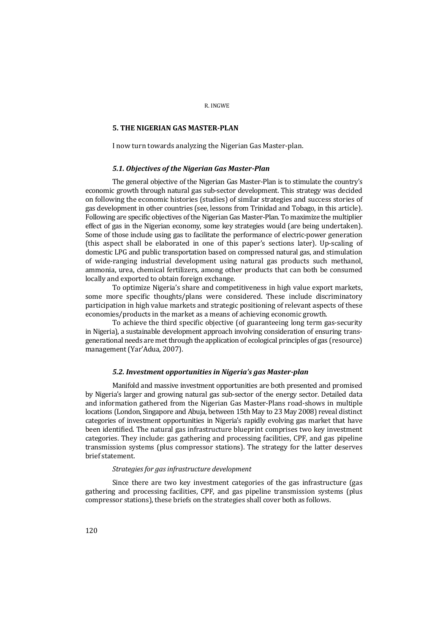### **5. THE NIGERIAN GAS MASTER-PLAN**

I now turn towards analyzing the Nigerian Gas Master-plan.

### *5.1. Objectives of the Nigerian Gas Master-Plan*

The general objective of the Nigerian Gas Master-Plan is to stimulate the country's economic growth through natural gas sub-sector development. This strategy was decided on following the economic histories (studies) of similar strategies and success stories of gas development in other countries (see, lessons from Trinidad and Tobago, in this article). Following are specific objectives of the Nigerian Gas Master-Plan. To maximize the multiplier effect of gas in the Nigerian economy, some key strategies would (are being undertaken). Some of those include using gas to facilitate the performance of electric-power generation (this aspect shall be elaborated in one of this paper's sections later). Up-scaling of domestic LPG and public transportation based on compressed natural gas, and stimulation of wide-ranging industrial development using natural gas products such methanol, ammonia, urea, chemical fertilizers, among other products that can both be consumed locally and exported to obtain foreign exchange.

To optimize Nigeria's share and competitiveness in high value export markets, some more specific thoughts/plans were considered. These include discriminatory participation in high value markets and strategic positioning of relevant aspects of these economies/products in the market as a means of achieving economic growth.

To achieve the third specific objective (of guaranteeing long term gas-security in Nigeria), a sustainable development approach involving consideration of ensuring transgenerational needs are met through the application of ecological principles of gas (resource) management (Yar'Adua, 2007).

### *5.2. Investment opportunities in Nigeria's gas Master-plan*

Manifold and massive investment opportunities are both presented and promised by Nigeria's larger and growing natural gas sub-sector of the energy sector. Detailed data and information gathered from the Nigerian Gas Master-Plans road-shows in multiple locations (London, Singapore and Abuja, between 15th May to 23 May 2008) reveal distinct categories of investment opportunities in Nigeria's rapidly evolving gas market that have been identified. The natural gas infrastructure blueprint comprises two key investment categories. They include: gas gathering and processing facilities, CPF, and gas pipeline transmission systems (plus compressor stations). The strategy for the latter deserves brief statement.

# *Strategies for gas infrastructure development*

Since there are two key investment categories of the gas infrastructure (gas gathering and processing facilities, CPF, and gas pipeline transmission systems (plus compressor stations), these briefs on the strategies shall cover both as follows.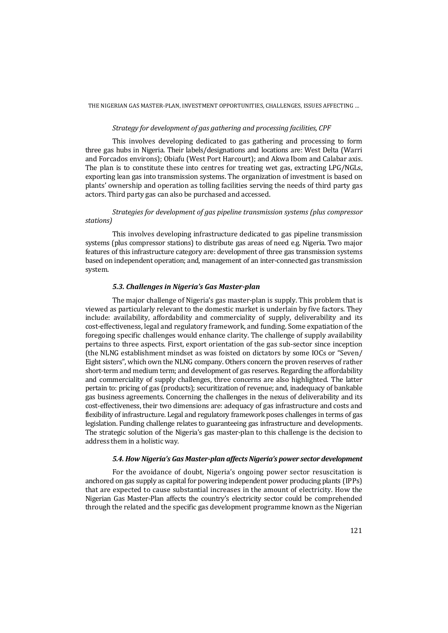#### THE NIGERIAN GAS MASTER-PLAN, INVESTMENT OPPORTUNITIES, CHALLENGES, ISSUES AFFECTING …

# *Strategy for development of gas gathering and processing facilities, CPF*

This involves developing dedicated to gas gathering and processing to form three gas hubs in Nigeria. Their labels/designations and locations are: West Delta (Warri and Forcados environs); Obiafu (West Port Harcourt); and Akwa Ibom and Calabar axis. The plan is to constitute these into centres for treating wet gas, extracting LPG/NGLs, exporting lean gas into transmission systems. The organization of investment is based on plants' ownership and operation as tolling facilities serving the needs of third party gas actors. Third party gas can also be purchased and accessed.

# *Strategies for development of gas pipeline transmission systems (plus compressor stations)*

This involves developing infrastructure dedicated to gas pipeline transmission systems (plus compressor stations) to distribute gas areas of need e.g. Nigeria. Two major features of this infrastructure category are: development of three gas transmission systems based on independent operation; and, management of an inter-connected gas transmission system.

# *5.3. Challenges in Nigeria's Gas Master-plan*

The major challenge of Nigeria's gas master-plan is supply. This problem that is viewed as particularly relevant to the domestic market is underlain by five factors. They include: availability, affordability and commerciality of supply, deliverability and its cost-effectiveness, legal and regulatory framework, and funding. Some expatiation of the foregoing specific challenges would enhance clarity. The challenge of supply availability pertains to three aspects. First, export orientation of the gas sub-sector since inception (the NLNG establishment mindset as was foisted on dictators by some IOCs or "Seven/ Eight sisters", which own the NLNG company. Others concern the proven reserves of rather short-term and medium term; and development of gas reserves. Regarding the affordability and commerciality of supply challenges, three concerns are also highlighted. The latter pertain to: pricing of gas (products); securitization of revenue; and, inadequacy of bankable gas business agreements. Concerning the challenges in the nexus of deliverability and its cost-effectiveness, their two dimensions are: adequacy of gas infrastructure and costs and flexibility of infrastructure. Legal and regulatory framework poses challenges in terms of gas legislation. Funding challenge relates to guaranteeing gas infrastructure and developments. The strategic solution of the Nigeria's gas master-plan to this challenge is the decision to address them in a holistic way.

# *5.4. How Nigeria's Gas Master-plan affects Nigeria's power sector development*

For the avoidance of doubt, Nigeria's ongoing power sector resuscitation is anchored on gas supply as capital for powering independent power producing plants (IPPs) that are expected to cause substantial increases in the amount of electricity. How the Nigerian Gas Master-Plan affects the country's electricity sector could be comprehended through the related and the specific gas development programme known as the Nigerian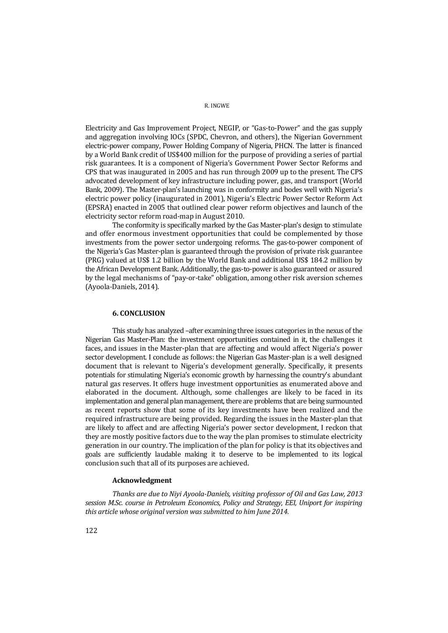Electricity and Gas Improvement Project, NEGIP, or "Gas-to-Power" and the gas supply and aggregation involving IOCs (SPDC, Chevron, and others), the Nigerian Government electric-power company, Power Holding Company of Nigeria, PHCN. The latter is financed by a World Bank credit of US\$400 million for the purpose of providing a series of partial risk guarantees. It is a component of Nigeria's Government Power Sector Reforms and CPS that was inaugurated in 2005 and has run through 2009 up to the present. The CPS advocated development of key infrastructure including power, gas, and transport (World Bank, 2009). The Master-plan's launching was in conformity and bodes well with Nigeria's electric power policy (inaugurated in 2001), Nigeria's Electric Power Sector Reform Act (EPSRA) enacted in 2005 that outlined clear power reform objectives and launch of the electricity sector reform road-map in August 2010.

The conformity is specifically marked by the Gas Master-plan's design to stimulate and offer enormous investment opportunities that could be complemented by those investments from the power sector undergoing reforms. The gas-to-power component of the Nigeria's Gas Master-plan is guaranteed through the provision of private risk guarantee (PRG) valued at US\$ 1.2 billion by the World Bank and additional US\$ 184.2 million by the African Development Bank. Additionally, the gas-to-power is also guaranteed or assured by the legal mechanisms of "pay-or-take" obligation, among other risk aversion schemes (Ayoola-Daniels, 2014).

#### **6. CONCLUSION**

This study has analyzed –after examining three issues categories in the nexus of the Nigerian Gas Master-Plan: the investment opportunities contained in it, the challenges it faces, and issues in the Master-plan that are affecting and would affect Nigeria's power sector development. I conclude as follows: the Nigerian Gas Master-plan is a well designed document that is relevant to Nigeria's development generally. Specifically, it presents potentials for stimulating Nigeria's economic growth by harnessing the country's abundant natural gas reserves. It offers huge investment opportunities as enumerated above and elaborated in the document. Although, some challenges are likely to be faced in its implementation and general plan management, there are problems that are being surmounted as recent reports show that some of its key investments have been realized and the required infrastructure are being provided. Regarding the issues in the Master-plan that are likely to affect and are affecting Nigeria's power sector development, I reckon that they are mostly positive factors due to the way the plan promises to stimulate electricity generation in our country. The implication of the plan for policy is that its objectives and goals are sufficiently laudable making it to deserve to be implemented to its logical conclusion such that all of its purposes are achieved.

#### **Acknowledgment**

*Thanks are due to Niyi Ayoola-Daniels, visiting professor of Oil and Gas Law, 2013 session M.Sc. course in Petroleum Economics, Policy and Strategy, EEI, Uniport for inspiring this article whose original version was submitted to him June 2014.*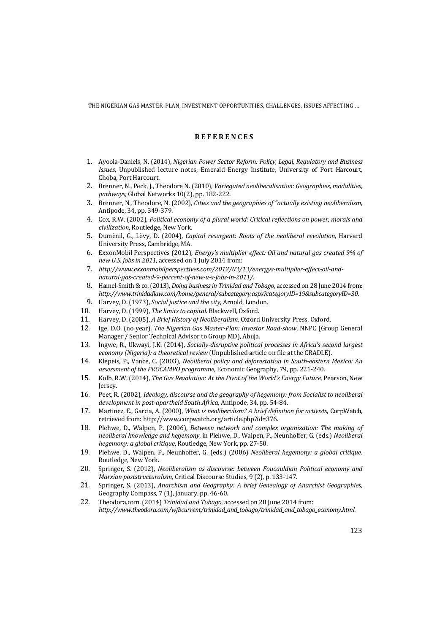THE NIGERIAN GAS MASTER-PLAN, INVESTMENT OPPORTUNITIES, CHALLENGES, ISSUES AFFECTING …

# **R E F E R E N C E S**

- 1. Ayoola-Daniels, N. (2014), *Nigerian Power Sector Reform: Policy, Legal, Regulatory and Business Issues*, Unpublished lecture notes, Emerald Energy Institute, University of Port Harcourt, Choba, Port Harcourt.
- 2. Brenner, N., Peck, J., Theodore N. (2010), *Variegated neoliberalisation: Geographies, modalities, pathways*, Global Networks 10(2), pp. 182-222.
- 3. Brenner, N., Theodore, N. (2002), *Cities and the geographies of "actually existing neoliberalism*, Antipode, 34, pp. 349-379.
- 4. Cox, R.W. (2002), *Political economy of a plural world: Critical reflections on power, morals and civilization*, Routledge, New York.
- 5. Dumẽnil, G., Lẽvy, D. (2004), *Capital resurgent: Roots of the neoliberal revolution*, Harvard University Press, Cambridge, MA.
- 6. ExxonMobil Perspectives (2012), *Energy's multiplier effect: Oil and natural gas created 9% of new U.S. jobs in 2011*, accessed on 1 July 2014 from:
- 7. *http://www.exxonmobilperspectives.com/2012/03/13/energys-multiplier-effect-oil-andnatural-gas-created-9-percent-of-new-u-s-jobs-in-2011/.*
- 8. Hamel-Smith & co. (2013), *Doing business in Trinidad and Tobago*, accessed on 28 June 2014 from: *http://www.trinidadlaw.com/home/general/subcategory.aspx?categoryID=19&subcategoryID=30.*
- 9. Harvey, D. (1973), *Social justice and the city*, Arnold, London.
- 10. Harvey, D. (1999), *The limits to capital.* Blackwell, Oxford.
- 11. Harvey, D. (2005), *A Brief History of Neoliberalism*. Oxford University Press, Oxford.
- 12. Ige, D.O. (no year), *The Nigerian Gas Master-Plan: Investor Road-show*, NNPC (Group General Manager / Senior Technical Advisor to Group MD), Abuja.
- 13. Ingwe, R., Ukwayi, J.K. (2014), *Socially-disruptive political processes in Africa's second largest economy (Nigeria): a theoretical review* (Unpublished article on file at the CRADLE).
- 14. Klepeis, P., Vance, C. (2003), *Neoliberal policy and deforestation in South-eastern Mexico: An assessment of the PROCAMPO programme*, Economic Geography, 79, pp. 221-240.
- 15. Kolb, R.W. (2014), *The Gas Revolution: At the Pivot of the World's Energy Future*, Pearson, New Jersey.
- 16. Peet, R. (2002), *Ideology, discourse and the geography of hegemony: from Socialist to neoliberal development in post-apartheid South Africa*, Antipode, 34, pp. 54-84.
- 17. Martinez, E., Garcia, A. (2000), *What is neoliberalism? A brief definition for activists*, CorpWatch, retrieved from: http://www.corpwatch.org/article.php?id=376.
- 18. Plehwe, D., Walpen, P. (2006), *Between network and complex organization: The making of neoliberal knowledge and hegemony*, in Plehwe, D., Walpen, P., Neunhoffer, G. (eds.) *Neoliberal hegemony: a global critique*, Routledge, New York, pp. 27-50.
- 19. Plehwe, D., Walpen, P., Neunhoffer, G. (eds.) (2006) *Neoliberal hegemony: a global critique*. Routledge, New York.
- 20. Springer, S. (2012), *Neoliberalism as discourse: between Foucauldian Political economy and Marxian poststructuralism*, Critical Discourse Studies, 9 (2), p. 133-147.
- 21. Springer, S. (2013), *Anarchism and Geography: A brief Genealogy of Anarchist Geographies*, Geography Compass*,* 7 (1), January, pp. 46-60.
- 22. Theodora.com. (2014) *Trinidad and Tobago*, accessed on 28 June 2014 from: *http://www.theodora.com/wfbcurrent/trinidad\_and\_tobago/trinidad\_and\_tobago\_economy.html*.